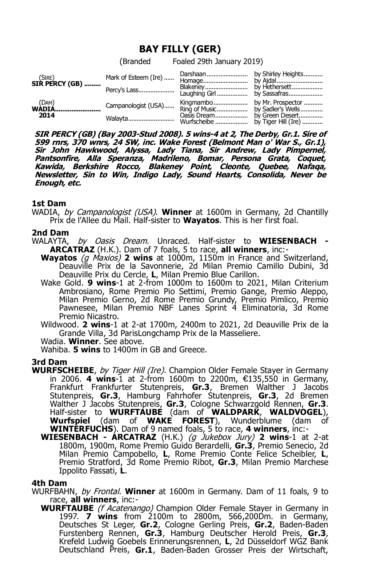# **BAY FILLY (GER)**

(Branded Foaled 29th January 2019)

| $(SIRE)$<br>SIR PERCY (GB) | Mark of Esteem (Ire) |  |
|----------------------------|----------------------|--|
| 2014                       | Campanologist (USA)  |  |

**SIR PERCY (GB) (Bay 2003-Stud 2008). 5 wins-4 at 2, The Derby, Gr.1. Sire of 599 rnrs, 370 wnrs, 24 SW, inc. Wake Forest (Belmont Man o' War S., Gr.1), Sir John Hawkwood, Alyssa, Lady Tiana, Sir Andrew, Lady Pimpernel, Pantsonfire, Alla Speranza, Madrileno, Bomar, Persona Grata, Coquet, Kawida, Berkshire Rocco, Blakeney Point, Cleonte, Quebee, Nafaqa, Newsletter, Sin to Win, Indigo Lady, Sound Hearts, Consolida, Never be Enough, etc.**

## **1st Dam**

WADIA, by Campanologist (USA). **Winner** at 1600m in Germany, 2d Chantilly Prix de l'Allee du Mail. Half-sister to **Wayatos**. This is her first foal.

## **2nd Dam**

- WALAYTA, by Oasis Dream. Unraced. Half-sister to **WIESENBACH - ARCATRAZ** (H.K.). Dam of 7 foals, 5 to race, **all winners**, inc:-
	- **Wayatos** (g Maxios) **2 wins** at 1000m, 1150m in France and Switzerland, Deauville Prix de la Savonnerie, 2d Milan Premio Camillo Dubini, 3d Deauville Prix du Cercle, **L**, Milan Premio Blue Carillon.
	- Wake Gold. **9 wins**-1 at 2-from 1000m to 1600m to 2021, Milan Criterium Ambrosiano, Rome Premio Pio Settimi, Premio Gange, Premio Aleppo, Milan Premio Gerno, 2d Rome Premio Grundy, Premio Pimlico, Premio Pawnesee, Milan Premio NBF Lanes Sprint 4 Eliminatoria, 3d Rome Premio Nicastro.

Wildwood. **2 wins**-1 at 2-at 1700m, 2400m to 2021, 2d Deauville Prix de la Grande Villa, 3d ParisLongchamp Prix de la Masseliere.

Wadia. **Winner**. See above.

Wahiba. **5 wins** to 1400m in GB and Greece.

## **3rd Dam**

- **WURFSCHEIBE**, by Tiger Hill (Ire). Champion Older Female Stayer in Germany in 2006. **4 wins**-1 at 2-from 1600m to 2200m, €135,550 in Germany, Frankfurt Frankfurter Stutenpreis, **Gr.3**, Bremen Walther J Jacobs Stutenpreis, **Gr.3**, Hamburg Fahrhofer Stutenpreis, **Gr.3**, 2d Bremen Walther J Jacobs Stutenpreis, **Gr.3**, Cologne Schwarzgold Rennen, **Gr.3**. Half-sister to **WURFTAUBE** (dam of **WALDPARK**, **WALDVOGEL**), **Wurfspiel** (dam of **WAKE FOREST**), Wunderblume (dam of **WINTERFUCHS**). Dam of 9 named foals, 5 to race, **4 winners**, inc:-
	- **WIESENBACH ARCATRAZ** (H.K.) (g Jukebox Jury) **2 wins**-1 at 2-at 1800m, 1900m, Rome Premio Guido Berardelli, **Gr.3**, Premio Senecio, 2d Milan Premio Campobello, **L**, Rome Premio Conte Felice Scheibler, **L**, Premio Stratford, 3d Rome Premio Ribot, **Gr.3**, Milan Premio Marchese Ippolito Fassati, **L**.

### **4th Dam**

WURFBAHN, by Frontal. **Winner** at 1600m in Germany. Dam of 11 foals, 9 to race, **all winners**, inc:-

**WURFTAUBE** (f Acatenango) Champion Older Female Stayer in Germany in 1997. **7 wins** from 2100m to 2800m, 566,200Dm. in Germany, Deutsches St Leger, **Gr.2**, Cologne Gerling Preis, **Gr.2**, Baden-Baden Furstenberg Rennen, **Gr.3**, Hamburg Deutscher Herold Preis, **Gr.3**, Krefeld Ludwig Goebels Erinnerungsrennen, **L**, 2d Düsseldorf WGZ Bank Deutschland Preis, **Gr.1**, Baden-Baden Grosser Preis der Wirtschaft,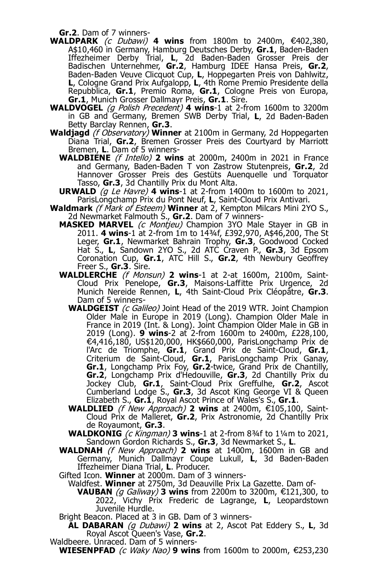**Gr.2**. Dam of 7 winners-

- **WALDPARK** (c Dubawi) **4 wins** from 1800m to 2400m, €402,380, A\$10,460 in Germany, Hamburg Deutsches Derby, **Gr.1**, Baden-Baden Iffezheimer Derby Trial, **L**, 2d Baden-Baden Grosser Preis der Badischen Unternehmer, **Gr.2**, Hamburg IDEE Hansa Preis, **Gr.2**, Baden-Baden Veuve Clicquot Cup, **L**, Hoppegarten Preis von Dahlwitz, **L**, Cologne Grand Prix Aufgalopp, **L**, 4th Rome Premio Presidente della Repubblica, **Gr.1**, Premio Roma, **Gr.1**, Cologne Preis von Europa, **Gr.1**, Munich Grosser Dallmayr Preis, **Gr.1**. Sire.
- **WALDVOGEL** (g Polish Precedent) **4 wins**-1 at 2-from 1600m to 3200m in GB and Germany, Bremen SWB Derby Trial, L, 2d Baden-Baden Betty Barclay Rennen, **Gr.3**.
- **Waldjagd** (f Observatory) **Winner** at 2100m in Germany, 2d Hoppegarten Diana Trial, **Gr.2**, Bremen Grosser Preis des Courtyard by Marriott Bremen, **L**. Dam of 5 winners-
	- **WALDBIENE** (f Intello) **2 wins** at 2000m, 2400m in 2021 in France and Germany, Baden-Baden T von Zastrow Stutenpreis, **Gr.2**, 2d Hannover Grosser Preis des Gestüts Auenquelle und Torquator Tasso, **Gr.3**, 3d Chantilly Prix du Mont Alta.
	- **URWALD** (g Le Havre) **4 wins**-1 at 2-from 1400m to 1600m to 2021, ParisLongchamp Prix du Pont Neuf, **L**, Saint-Cloud Prix Antivari.
- **Waldmark** (f Mark of Esteem) **Winner** at 2, Kempton Milcars Mini 2YO S., 2d Newmarket Falmouth S., **Gr.2**. Dam of 7 winners-
	- **MASKED MARVEL** (c Montjeu) Champion 3YO Male Stayer in GB in 2011. **4 wins**-1 at 2-from 1m to 14¾f, £392,970, A\$46,200, The St Leger, **Gr.1**, Newmarket Bahrain Trophy, **Gr.3**, Goodwood Cocked Hat S., **L**, Sandown 2YO S., 2d ATC Craven P., **Gr.3**, 3d Epsom Coronation Cup, **Gr.1**, ATC Hill S., **Gr.2**, 4th Newbury Geoffrey Freer S., **Gr.3**. Sire.
	- **WALDLERCHE** (f Monsun) **2 wins**-1 at 2-at 1600m, 2100m, Saint-Cloud Prix Penelope, **Gr.3**, Maisons-Laffitte Prix Urgence, 2d Munich Nereide Rennen, **L**, 4th Saint-Cloud Prix Cléopâtre, **Gr.3**. Dam of 5 winners-
		- WALDGEIST (c Galileo) Joint Head of the 2019 WTR. Joint Champion Older Male in Europe in 2019 (Long). Champion Older Male in France in 2019 (Int. & Long). Joint Champion Older Male in GB in 2019 (Long). **9 wins**-2 at 2-from 1600m to 2400m, £228,100, €4,416,180, US\$120,000, HK\$660,000, ParisLongchamp Prix de l'Arc de Triomphe, **Gr.1**, Grand Prix de Saint-Cloud, **Gr.1**, Criterium de Saint-Cloud, **Gr.1**, ParisLongchamp Prix Ganay, **Gr.1**, Longchamp Prix Foy, **Gr.2**-twice, Grand Prix de Chantilly, **Gr.2**, Longchamp Prix d'Hedouville, **Gr.3**, 2d Chantilly Prix du Jockey Club, Gr.1, Saint-Cloud Prix Greffulhe, Gr.2, Ascot Cumberland Lodge S., **Gr.3**, 3d Ascot King George VI & Queen Elizabeth S., **Gr.1**, Royal Ascot Prince of Wales's S., **Gr.1**.
		- **WALDLIED** (*f New Approach*) **2 wins** at 2400m,  $€105,100$ , Saint-Cloud Prix de Malleret, **Gr.2**, Prix Astronomie, 2d Chantilly Prix de Royaumont, **Gr.3**.
		- **WALDKONIG** (c Kingman) **3 wins**-1 at 2-from 8<sup>3</sup>/4 to 1<sup>1</sup>/4m to 2021, Sandown Gordon Richards S., **Gr.3**, 3d Newmarket S., **L**.
	- **WALDNAH** (f New Approach) **2 wins** at 1400m, 1600m in GB and Germany, Munich Dallmayr Coupe Lukull, **L**, 3d Baden-Baden Iffezheimer Diana Trial, **L**. Producer.
	- Gifted Icon. **Winner** at 2000m. Dam of 3 winners-
		- Waldfest. **Winner** at 2750m, 3d Deauville Prix La Gazette. Dam of-
			- **VAUBAN** (g Galiway) **3 wins** from 2200m to 3200m, €121,300, to 2022, Vichy Prix Frederic de Lagrange, **L**, Leopardstown Juvenile Hurdle.
	- Bright Beacon. Placed at 3 in GB. Dam of 3 winners-
	- **AL DABARAN** (g Dubawi) **2 wins** at 2, Ascot Pat Eddery S., **L**, 3d Royal Ascot Queen's Vase, **Gr.2**.

Waldbeere. Unraced. Dam of 5 winners-

**WIESENPFAD** (c Waky Nao) 9 wins from 1600m to 2000m, €253,230